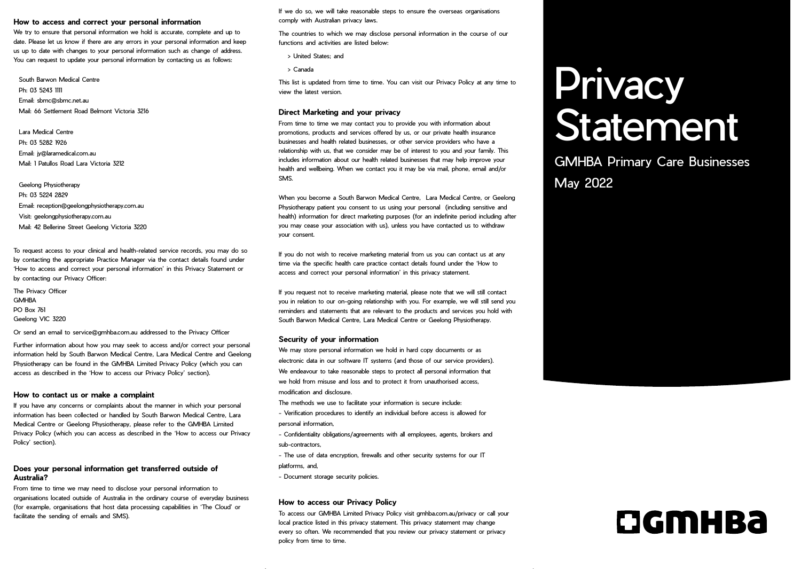### **How to access and correct your personal information**

We try to ensure that personal information we hold is accurate, complete and up to date. Please let us know if there are any errors in your personal information and keep us up to date with changes to your personal information such as change of address. You can request to update your personal information by contacting us as follows:

South Barwon Medical Centre Ph: 03 5243 1111 Email: sbmc@sbmc.net.au Mail: 66 Settlement Road Belmont Victoria 3216

Lara Medical Centre Ph: 03 5282 1926 Email: jy@laramedical.com.au Mail: 1 Patullos Road Lara Victoria 3212

Geelong Physiotherapy Ph: 03 5224 2829 Email: reception@geelongphysiotherapy.com.au Visit: geelongphysiotherapy.com.au Mail: 42 Bellerine Street Geelong Victoria 3220

To request access to your clinical and health-related service records, you may do so by contacting the appropriate Practice Manager via the contact details found under 'How to access and correct your personal information' in this Privacy Statement or by contacting our Privacy Officer:

The Privacy Officer **GMHRA** PO Box 761 Geelong VIC 3220

Or send an email to service@gmhba.com.au addressed to the Privacy Officer

Further information about how you may seek to access and/or correct your personal information held by South Barwon Medical Centre, Lara Medical Centre and Geelong Physiotherapy can be found in the GMHBA Limited Privacy Policy (which you can access as described in the 'How to access our Privacy Policy' section).

### **How to contact us or make a complaint**

If you have any concerns or complaints about the manner in which your personal information has been collected or handled by South Barwon Medical Centre, Lara Medical Centre or Geelong Physiotherapy, please refer to the GMHBA Limited Privacy Policy (which you can access as described in the 'How to access our Privacy Policy' section).

# **Does your personal information get transferred outside of Australia?**

From time to time we may need to disclose your personal information to organisations located outside of Australia in the ordinary course of everyday business (for example, organisations that host data processing capabilities in 'The Cloud' or facilitate the sending of emails and SMS).

If we do so, we will take reasonable steps to ensure the overseas organisations comply with Australian privacy laws.

The countries to which we may disclose personal information in the course of our functions and activities are listed below:

- •> United States; and
- •> Canada

This list is updated from time to time. You can visit our Privacy Policy at any time to view the latest version.

### **Direct Marketing and your privacy**

From time to time we may contact you to provide you with information about promotions, products and services offered by us, or our private health insurance businesses and health related businesses, or other service providers who have a relationship with us, that we consider may be of interest to you and your family. This includes information about our health related businesses that may help improve your health and wellbeing. When we contact you it may be via mail, phone, email and/or SMS.

When you become a South Barwon Medical Centre, Lara Medical Centre, or Geelong Physiotherapy patient you consent to us using your personal (including sensitive and health) information for direct marketing purposes (for an indefinite period including after you may cease your association with us), unless you have contacted us to withdraw your consent.

If you do not wish to receive marketing material from us you can contact us at any time via the specific health care practice contact details found under the 'How to access and correct your personal information' in this privacy statement.

If you request not to receive marketing material, please note that we will still contact you in relation to our on-going relationship with you. For example, we will still send you reminders and statements that are relevant to the products and services you hold with South Barwon Medical Centre, Lara Medical Centre or Geelong Physiotherapy.

#### **Security of your information**

We may store personal information we hold in hard copy documents or as electronic data in our software IT systems (and those of our service providers). We endeavour to take reasonable steps to protect all personal information that we hold from misuse and loss and to protect it from unauthorised access. modification and disclosure.

The methods we use to facilitate your information is secure include: - Verification procedures to identify an individual before access is allowed for

- personal information,
- Confidentiality obligations/agreements with all employees, agents, brokers and sub-contractors,
- The use of data encryption, firewalls and other security systems for our IT
- platforms, and,
- Document storage security policies.

### **How to access our Privacy Policy**

To access our GMHBA Limited Privacy Policy visit gmhba.com.au/privacy or call your local practice listed in this privacy statement. This privacy statement may change every so often. We recommended that you review our privacy statement or privacy policy from time to time.

# Privacy Statement

GMHBA Primary Care Businesses May 2022

# DGMHBa